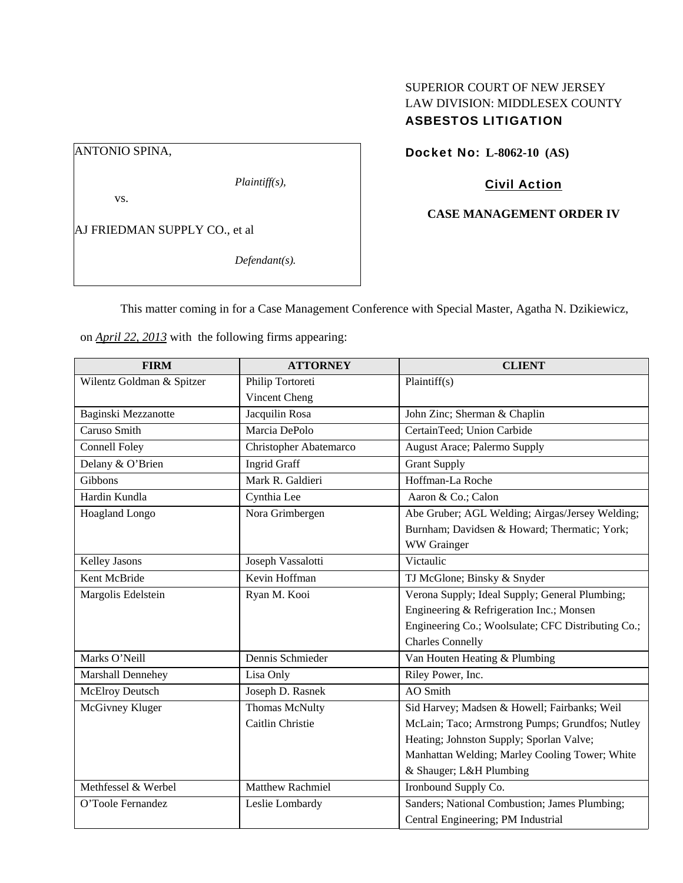# SUPERIOR COURT OF NEW JERSEY LAW DIVISION: MIDDLESEX COUNTY ASBESTOS LITIGATION

ANTONIO SPINA,

*Plaintiff(s),* 

vs.

AJ FRIEDMAN SUPPLY CO., et al

*Defendant(s).* 

Docket No: **L-8062-10 (AS)** 

## Civil Action

## **CASE MANAGEMENT ORDER IV**

This matter coming in for a Case Management Conference with Special Master, Agatha N. Dzikiewicz,

on *April 22, 2013* with the following firms appearing:

| <b>FIRM</b>               | <b>ATTORNEY</b>         | <b>CLIENT</b>                                      |
|---------------------------|-------------------------|----------------------------------------------------|
| Wilentz Goldman & Spitzer | Philip Tortoreti        | Plaintiff(s)                                       |
|                           | Vincent Cheng           |                                                    |
| Baginski Mezzanotte       | Jacquilin Rosa          | John Zinc; Sherman & Chaplin                       |
| Caruso Smith              | Marcia DePolo           | CertainTeed; Union Carbide                         |
| <b>Connell Foley</b>      | Christopher Abatemarco  | August Arace; Palermo Supply                       |
| Delany & O'Brien          | <b>Ingrid Graff</b>     | <b>Grant Supply</b>                                |
| Gibbons                   | Mark R. Galdieri        | Hoffman-La Roche                                   |
| Hardin Kundla             | Cynthia Lee             | Aaron & Co.; Calon                                 |
| <b>Hoagland Longo</b>     | Nora Grimbergen         | Abe Gruber; AGL Welding; Airgas/Jersey Welding;    |
|                           |                         | Burnham; Davidsen & Howard; Thermatic; York;       |
|                           |                         | WW Grainger                                        |
| Kelley Jasons             | Joseph Vassalotti       | Victaulic                                          |
| Kent McBride              | Kevin Hoffman           | TJ McGlone; Binsky & Snyder                        |
| Margolis Edelstein        | Ryan M. Kooi            | Verona Supply; Ideal Supply; General Plumbing;     |
|                           |                         | Engineering & Refrigeration Inc.; Monsen           |
|                           |                         | Engineering Co.; Woolsulate; CFC Distributing Co.; |
|                           |                         | <b>Charles Connelly</b>                            |
| Marks O'Neill             | Dennis Schmieder        | Van Houten Heating & Plumbing                      |
| Marshall Dennehey         | Lisa Only               | Riley Power, Inc.                                  |
| <b>McElroy Deutsch</b>    | Joseph D. Rasnek        | <b>AO</b> Smith                                    |
| McGivney Kluger           | <b>Thomas McNulty</b>   | Sid Harvey; Madsen & Howell; Fairbanks; Weil       |
|                           | Caitlin Christie        | McLain; Taco; Armstrong Pumps; Grundfos; Nutley    |
|                           |                         | Heating; Johnston Supply; Sporlan Valve;           |
|                           |                         | Manhattan Welding; Marley Cooling Tower; White     |
|                           |                         | & Shauger; L&H Plumbing                            |
| Methfessel & Werbel       | <b>Matthew Rachmiel</b> | Ironbound Supply Co.                               |
| O'Toole Fernandez         | Leslie Lombardy         | Sanders; National Combustion; James Plumbing;      |
|                           |                         | Central Engineering; PM Industrial                 |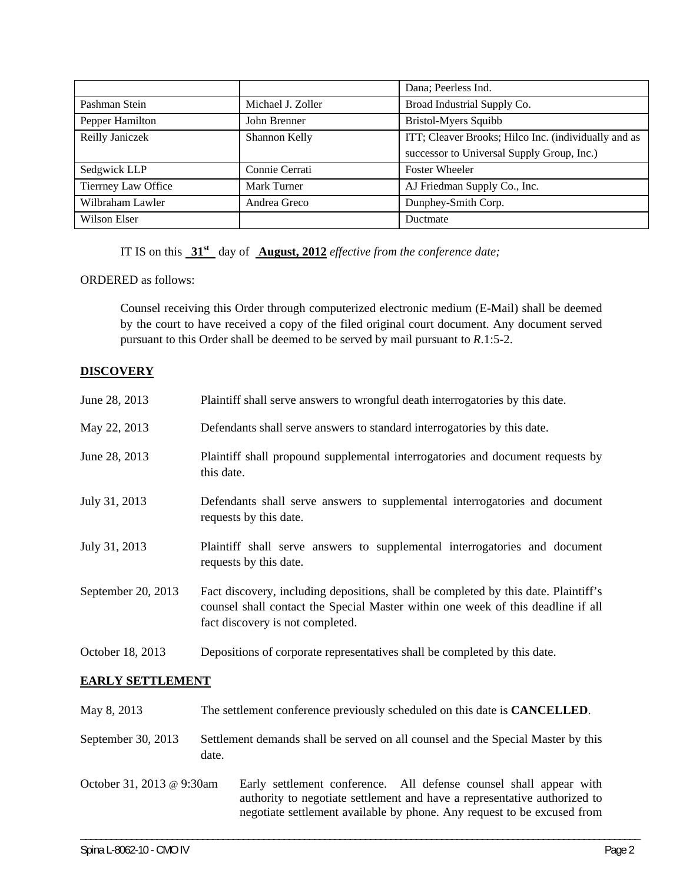|                     |                   | Dana; Peerless Ind.                                  |
|---------------------|-------------------|------------------------------------------------------|
| Pashman Stein       | Michael J. Zoller | Broad Industrial Supply Co.                          |
| Pepper Hamilton     | John Brenner      | <b>Bristol-Myers Squibb</b>                          |
| Reilly Janiczek     | Shannon Kelly     | ITT; Cleaver Brooks; Hilco Inc. (individually and as |
|                     |                   | successor to Universal Supply Group, Inc.)           |
| Sedgwick LLP        | Connie Cerrati    | <b>Foster Wheeler</b>                                |
| Tierrney Law Office | Mark Turner       | AJ Friedman Supply Co., Inc.                         |
| Wilbraham Lawler    | Andrea Greco      | Dunphey-Smith Corp.                                  |
| Wilson Elser        |                   | Ductmate                                             |

IT IS on this **31st** day of **August, 2012** *effective from the conference date;* 

ORDERED as follows:

Counsel receiving this Order through computerized electronic medium (E-Mail) shall be deemed by the court to have received a copy of the filed original court document. Any document served pursuant to this Order shall be deemed to be served by mail pursuant to *R*.1:5-2.

## **DISCOVERY**

| June 28, 2013             | Plaintiff shall serve answers to wrongful death interrogatories by this date.                                                                                                                                              |  |  |  |
|---------------------------|----------------------------------------------------------------------------------------------------------------------------------------------------------------------------------------------------------------------------|--|--|--|
| May 22, 2013              | Defendants shall serve answers to standard interrogatories by this date.                                                                                                                                                   |  |  |  |
| June 28, 2013             | Plaintiff shall propound supplemental interrogatories and document requests by<br>this date.                                                                                                                               |  |  |  |
| July 31, 2013             | Defendants shall serve answers to supplemental interrogatories and document<br>requests by this date.                                                                                                                      |  |  |  |
| July 31, 2013             | Plaintiff shall serve answers to supplemental interrogatories and document<br>requests by this date.                                                                                                                       |  |  |  |
| September 20, 2013        | Fact discovery, including depositions, shall be completed by this date. Plaintiff's<br>counsel shall contact the Special Master within one week of this deadline if all<br>fact discovery is not completed.                |  |  |  |
| October 18, 2013          | Depositions of corporate representatives shall be completed by this date.                                                                                                                                                  |  |  |  |
| <b>EARLY SETTLEMENT</b>   |                                                                                                                                                                                                                            |  |  |  |
| May 8, 2013               | The settlement conference previously scheduled on this date is <b>CANCELLED</b> .                                                                                                                                          |  |  |  |
| September 30, 2013        | Settlement demands shall be served on all counsel and the Special Master by this<br>date.                                                                                                                                  |  |  |  |
| October 31, 2013 @ 9:30am | Early settlement conference. All defense counsel shall appear with<br>authority to negotiate settlement and have a representative authorized to<br>negotiate settlement available by phone. Any request to be excused from |  |  |  |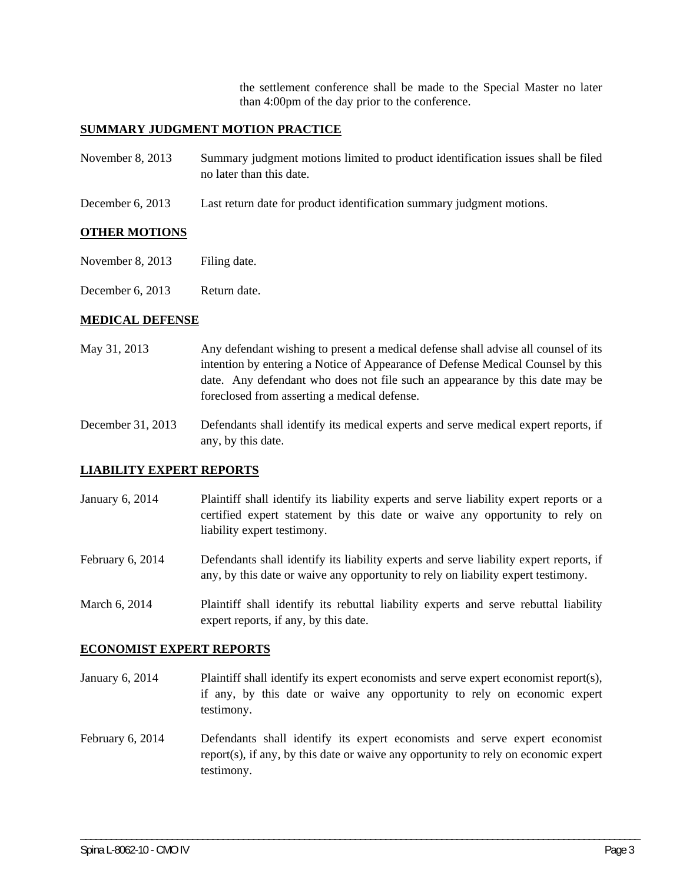the settlement conference shall be made to the Special Master no later than 4:00pm of the day prior to the conference.

#### **SUMMARY JUDGMENT MOTION PRACTICE**

| November 8, 2013 | Summary judgment motions limited to product identification issues shall be filed |
|------------------|----------------------------------------------------------------------------------|
|                  | no later than this date.                                                         |

December 6, 2013 Last return date for product identification summary judgment motions.

#### **OTHER MOTIONS**

- November 8, 2013 Filing date.
- December 6, 2013 Return date.

#### **MEDICAL DEFENSE**

May 31, 2013 Any defendant wishing to present a medical defense shall advise all counsel of its intention by entering a Notice of Appearance of Defense Medical Counsel by this date. Any defendant who does not file such an appearance by this date may be foreclosed from asserting a medical defense.

December 31, 2013 Defendants shall identify its medical experts and serve medical expert reports, if any, by this date.

#### **LIABILITY EXPERT REPORTS**

January 6, 2014 Plaintiff shall identify its liability experts and serve liability expert reports or a certified expert statement by this date or waive any opportunity to rely on liability expert testimony.

February 6, 2014 Defendants shall identify its liability experts and serve liability expert reports, if any, by this date or waive any opportunity to rely on liability expert testimony.

March 6, 2014 Plaintiff shall identify its rebuttal liability experts and serve rebuttal liability expert reports, if any, by this date.

#### **ECONOMIST EXPERT REPORTS**

- January 6, 2014 Plaintiff shall identify its expert economists and serve expert economist report(s), if any, by this date or waive any opportunity to rely on economic expert testimony.
- February 6, 2014 Defendants shall identify its expert economists and serve expert economist report(s), if any, by this date or waive any opportunity to rely on economic expert testimony.

\_\_\_\_\_\_\_\_\_\_\_\_\_\_\_\_\_\_\_\_\_\_\_\_\_\_\_\_\_\_\_\_\_\_\_\_\_\_\_\_\_\_\_\_\_\_\_\_\_\_\_\_\_\_\_\_\_\_\_\_\_\_\_\_\_\_\_\_\_\_\_\_\_\_\_\_\_\_\_\_\_\_\_\_\_\_\_\_\_\_\_\_\_\_\_\_\_\_\_\_\_\_\_\_\_\_\_\_\_\_